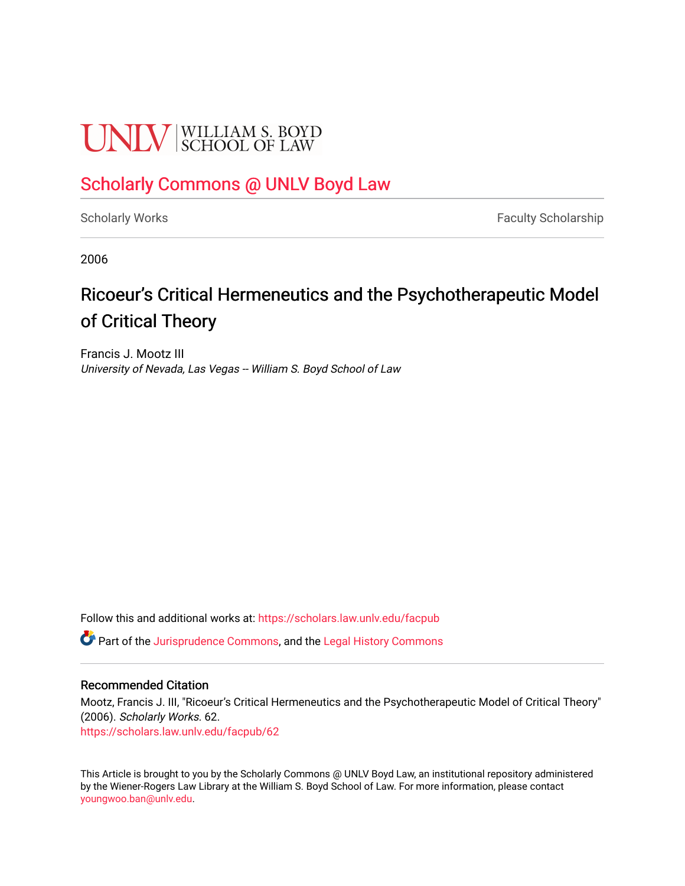# **UNLV** SCHOOL OF LAW

### [Scholarly Commons @ UNLV Boyd Law](https://scholars.law.unlv.edu/)

[Scholarly Works](https://scholars.law.unlv.edu/facpub) **Faculty Scholarship** Faculty Scholarship

2006

## Ricoeur's Critical Hermeneutics and the Psychotherapeutic Model of Critical Theory

Francis J. Mootz III University of Nevada, Las Vegas -- William S. Boyd School of Law

Follow this and additional works at: [https://scholars.law.unlv.edu/facpub](https://scholars.law.unlv.edu/facpub?utm_source=scholars.law.unlv.edu%2Ffacpub%2F62&utm_medium=PDF&utm_campaign=PDFCoverPages)

Part of the [Jurisprudence Commons](http://network.bepress.com/hgg/discipline/610?utm_source=scholars.law.unlv.edu%2Ffacpub%2F62&utm_medium=PDF&utm_campaign=PDFCoverPages), and the [Legal History Commons](http://network.bepress.com/hgg/discipline/904?utm_source=scholars.law.unlv.edu%2Ffacpub%2F62&utm_medium=PDF&utm_campaign=PDFCoverPages)

#### Recommended Citation

Mootz, Francis J. III, "Ricoeur's Critical Hermeneutics and the Psychotherapeutic Model of Critical Theory" (2006). Scholarly Works. 62. [https://scholars.law.unlv.edu/facpub/62](https://scholars.law.unlv.edu/facpub/62?utm_source=scholars.law.unlv.edu%2Ffacpub%2F62&utm_medium=PDF&utm_campaign=PDFCoverPages) 

This Article is brought to you by the Scholarly Commons @ UNLV Boyd Law, an institutional repository administered by the Wiener-Rogers Law Library at the William S. Boyd School of Law. For more information, please contact [youngwoo.ban@unlv.edu.](mailto:youngwoo.ban@unlv.edu)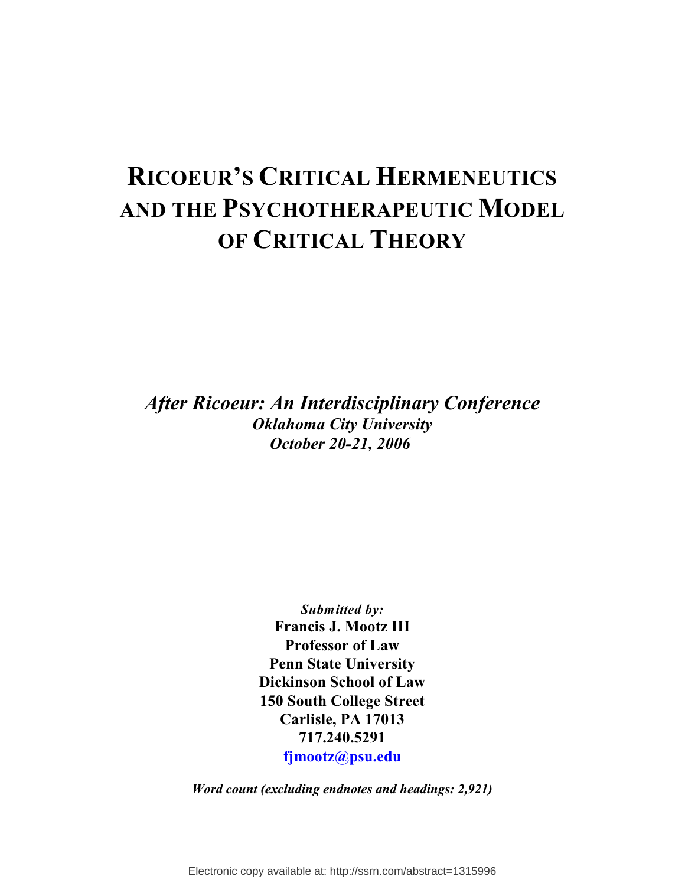## **RICOEUR'S CRITICAL HERMENEUTICS AND THE PSYCHOTHERAPEUTIC MODEL OF CRITICAL THEORY**

*After Ricoeur: An Interdisciplinary Conference Oklahoma City University October 20-21, 2006* 

> *Submitted by:* **Francis J. Mootz III Professor of Law Penn State University Dickinson School of Law 150 South College Street Carlisle, PA 17013 717.240.5291 [fjmootz@psu.edu](mailto:fjmootz@psu.edu)**

*Word count (excluding endnotes and headings: 2,921)*

Electronic copy available at: http://ssrn.com/abstract=1315996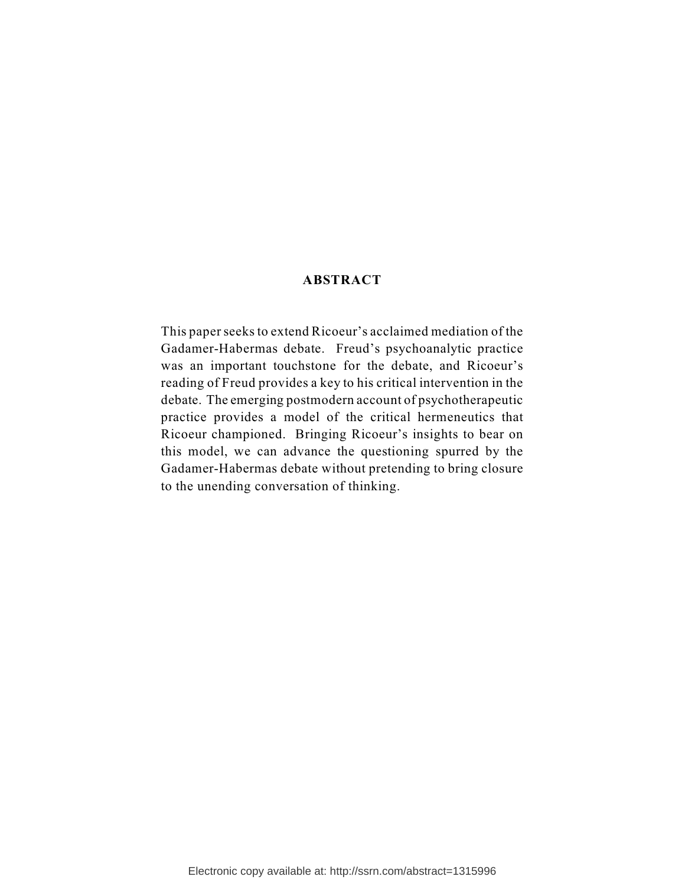#### **ABSTRACT**

This paper seeks to extend Ricoeur's acclaimed mediation of the Gadamer-Habermas debate. Freud's psychoanalytic practice was an important touchstone for the debate, and Ricoeur's reading of Freud provides a key to his critical intervention in the debate. The emerging postmodern account of psychotherapeutic practice provides a model of the critical hermeneutics that Ricoeur championed. Bringing Ricoeur's insights to bear on this model, we can advance the questioning spurred by the Gadamer-Habermas debate without pretending to bring closure to the unending conversation of thinking.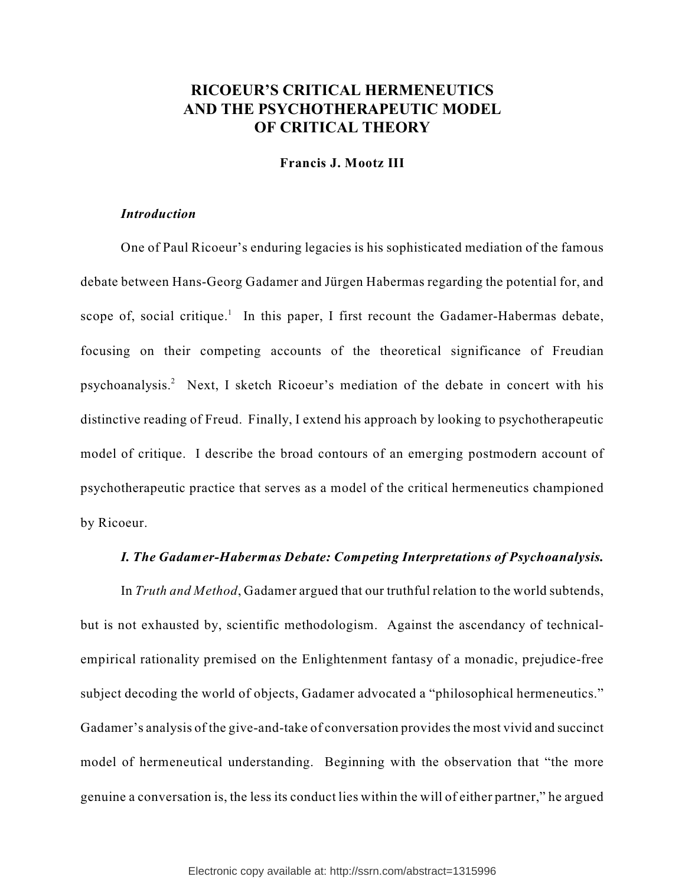#### **RICOEUR'S CRITICAL HERMENEUTICS AND THE PSYCHOTHERAPEUTIC MODEL OF CRITICAL THEORY**

#### **Francis J. Mootz III**

#### *Introduction*

One of Paul Ricoeur's enduring legacies is his sophisticated mediation of the famous debate between Hans-Georg Gadamer and Jürgen Habermas regarding the potential for, and scope of, social critique.<sup>1</sup> In this paper, I first recount the Gadamer-Habermas debate, focusing on their competing accounts of the theoretical significance of Freudian psychoanalysis.<sup>2</sup> Next, I sketch Ricoeur's mediation of the debate in concert with his distinctive reading of Freud. Finally, I extend his approach by looking to psychotherapeutic model of critique. I describe the broad contours of an emerging postmodern account of psychotherapeutic practice that serves as a model of the critical hermeneutics championed by Ricoeur.

#### *I. The Gadamer-Habermas Debate: Competing Interpretations of Psychoanalysis.*

In *Truth and Method*, Gadamer argued that our truthful relation to the world subtends, but is not exhausted by, scientific methodologism. Against the ascendancy of technicalempirical rationality premised on the Enlightenment fantasy of a monadic, prejudice-free subject decoding the world of objects, Gadamer advocated a "philosophical hermeneutics." Gadamer's analysis of the give-and-take of conversation provides the most vivid and succinct model of hermeneutical understanding. Beginning with the observation that "the more genuine a conversation is, the less its conduct lies within the will of either partner," he argued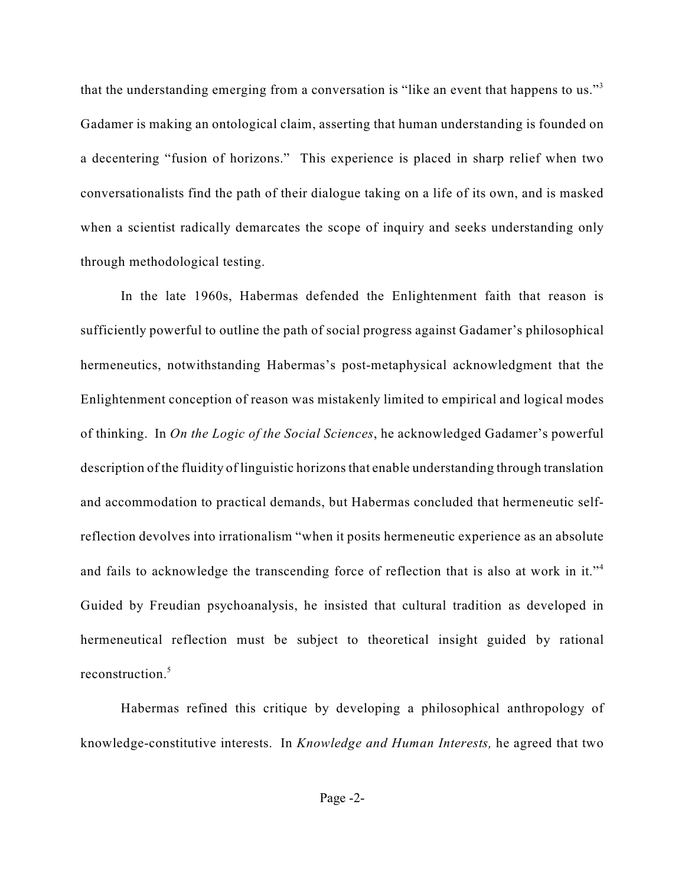that the understanding emerging from a conversation is "like an event that happens to us."<sup>3</sup> Gadamer is making an ontological claim, asserting that human understanding is founded on a decentering "fusion of horizons." This experience is placed in sharp relief when two conversationalists find the path of their dialogue taking on a life of its own, and is masked when a scientist radically demarcates the scope of inquiry and seeks understanding only through methodological testing.

In the late 1960s, Habermas defended the Enlightenment faith that reason is sufficiently powerful to outline the path of social progress against Gadamer's philosophical hermeneutics, notwithstanding Habermas's post-metaphysical acknowledgment that the Enlightenment conception of reason was mistakenly limited to empirical and logical modes of thinking. In *On the Logic of the Social Sciences*, he acknowledged Gadamer's powerful description of the fluidity of linguistic horizons that enable understanding through translation and accommodation to practical demands, but Habermas concluded that hermeneutic selfreflection devolves into irrationalism "when it posits hermeneutic experience as an absolute and fails to acknowledge the transcending force of reflection that is also at work in it."<sup>4</sup> Guided by Freudian psychoanalysis, he insisted that cultural tradition as developed in hermeneutical reflection must be subject to theoretical insight guided by rational reconstruction.<sup>5</sup>

Habermas refined this critique by developing a philosophical anthropology of knowledge-constitutive interests. In *Knowledge and Human Interests,* he agreed that two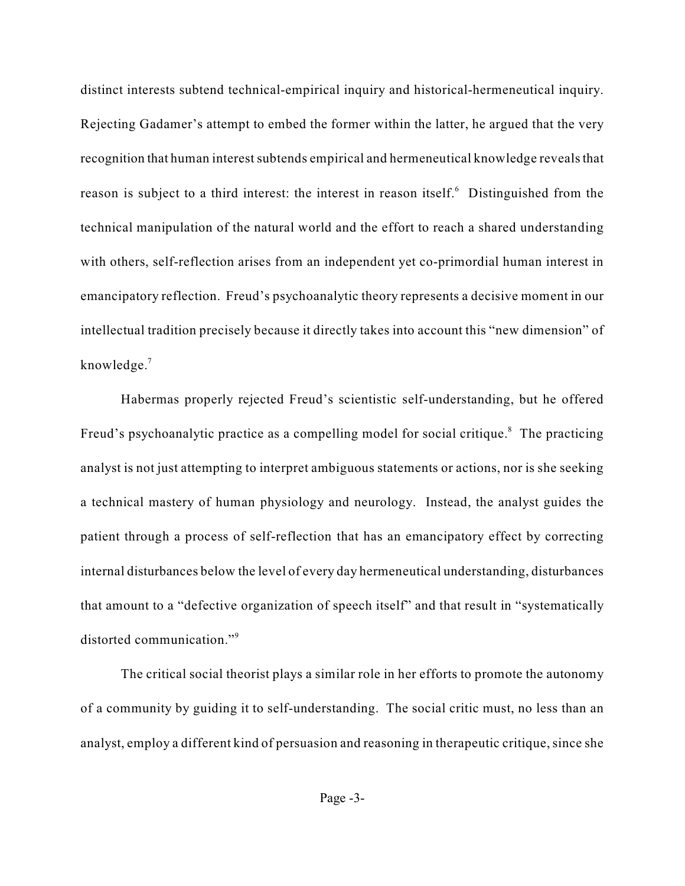distinct interests subtend technical-empirical inquiry and historical-hermeneutical inquiry. Rejecting Gadamer's attempt to embed the former within the latter, he argued that the very recognition that human interest subtends empirical and hermeneutical knowledge reveals that reason is subject to a third interest: the interest in reason itself.<sup>6</sup> Distinguished from the technical manipulation of the natural world and the effort to reach a shared understanding with others, self-reflection arises from an independent yet co-primordial human interest in emancipatory reflection. Freud's psychoanalytic theory represents a decisive moment in our intellectual tradition precisely because it directly takes into account this "new dimension" of knowledge.<sup>7</sup>

Habermas properly rejected Freud's scientistic self-understanding, but he offered Freud's psychoanalytic practice as a compelling model for social critique.<sup>8</sup> The practicing analyst is not just attempting to interpret ambiguous statements or actions, nor is she seeking a technical mastery of human physiology and neurology. Instead, the analyst guides the patient through a process of self-reflection that has an emancipatory effect by correcting internal disturbances below the level of every day hermeneutical understanding, disturbances that amount to a "defective organization of speech itself" and that result in "systematically distorted communication."<sup>9</sup>

The critical social theorist plays a similar role in her efforts to promote the autonomy of a community by guiding it to self-understanding. The social critic must, no less than an analyst, employ a different kind of persuasion and reasoning in therapeutic critique, since she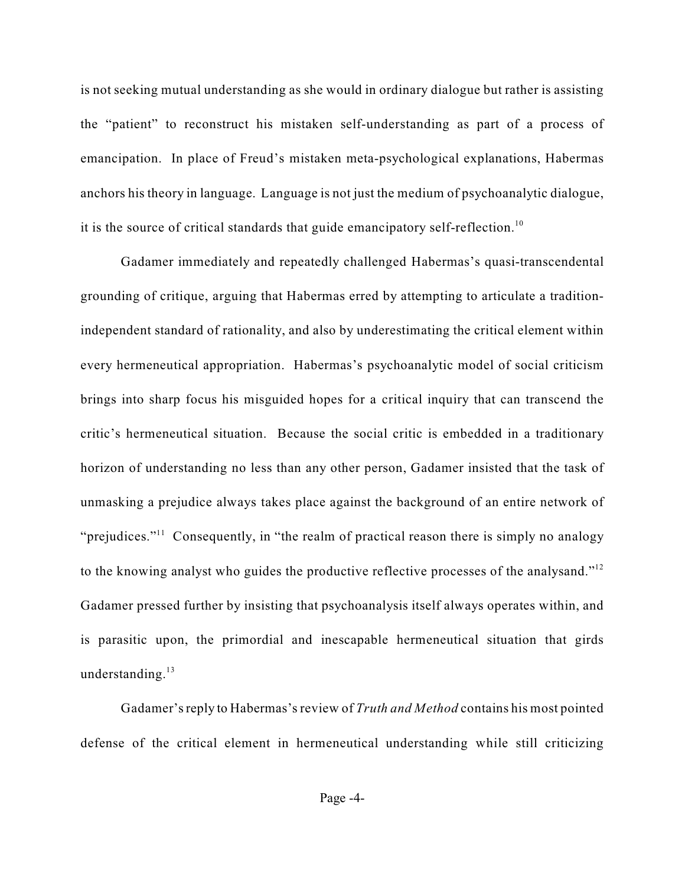is not seeking mutual understanding as she would in ordinary dialogue but rather is assisting the "patient" to reconstruct his mistaken self-understanding as part of a process of emancipation. In place of Freud's mistaken meta-psychological explanations, Habermas anchors his theory in language. Language is not just the medium of psychoanalytic dialogue, it is the source of critical standards that guide emancipatory self-reflection.<sup>10</sup>

Gadamer immediately and repeatedly challenged Habermas's quasi-transcendental grounding of critique, arguing that Habermas erred by attempting to articulate a traditionindependent standard of rationality, and also by underestimating the critical element within every hermeneutical appropriation. Habermas's psychoanalytic model of social criticism brings into sharp focus his misguided hopes for a critical inquiry that can transcend the critic's hermeneutical situation. Because the social critic is embedded in a traditionary horizon of understanding no less than any other person, Gadamer insisted that the task of unmasking a prejudice always takes place against the background of an entire network of "prejudices."<sup> $11$ </sup> Consequently, in "the realm of practical reason there is simply no analogy to the knowing analyst who guides the productive reflective processes of the analysand."<sup>12</sup> Gadamer pressed further by insisting that psychoanalysis itself always operates within, and is parasitic upon, the primordial and inescapable hermeneutical situation that girds understanding. $^{13}$ 

Gadamer's reply to Habermas's review of *Truth and Method* contains his most pointed defense of the critical element in hermeneutical understanding while still criticizing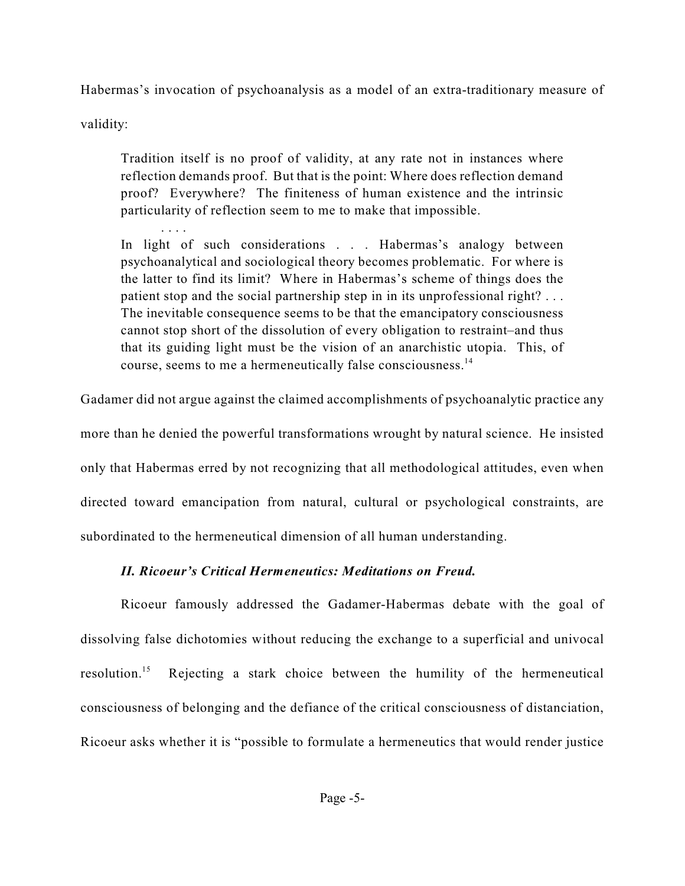Habermas's invocation of psychoanalysis as a model of an extra-traditionary measure of

validity:

Tradition itself is no proof of validity, at any rate not in instances where reflection demands proof. But that is the point: Where does reflection demand proof? Everywhere? The finiteness of human existence and the intrinsic particularity of reflection seem to me to make that impossible.

. . . . In light of such considerations . . . Habermas's analogy between psychoanalytical and sociological theory becomes problematic. For where is the latter to find its limit? Where in Habermas's scheme of things does the patient stop and the social partnership step in in its unprofessional right? . . . The inevitable consequence seems to be that the emancipatory consciousness cannot stop short of the dissolution of every obligation to restraint–and thus that its guiding light must be the vision of an anarchistic utopia. This, of course, seems to me a hermeneutically false consciousness.<sup>14</sup>

Gadamer did not argue against the claimed accomplishments of psychoanalytic practice any

more than he denied the powerful transformations wrought by natural science. He insisted only that Habermas erred by not recognizing that all methodological attitudes, even when directed toward emancipation from natural, cultural or psychological constraints, are subordinated to the hermeneutical dimension of all human understanding.

#### *II. Ricoeur's Critical Hermeneutics: Meditations on Freud.*

Ricoeur famously addressed the Gadamer-Habermas debate with the goal of dissolving false dichotomies without reducing the exchange to a superficial and univocal resolution.<sup>15</sup> Rejecting a stark choice between the humility of the hermeneutical consciousness of belonging and the defiance of the critical consciousness of distanciation, Ricoeur asks whether it is "possible to formulate a hermeneutics that would render justice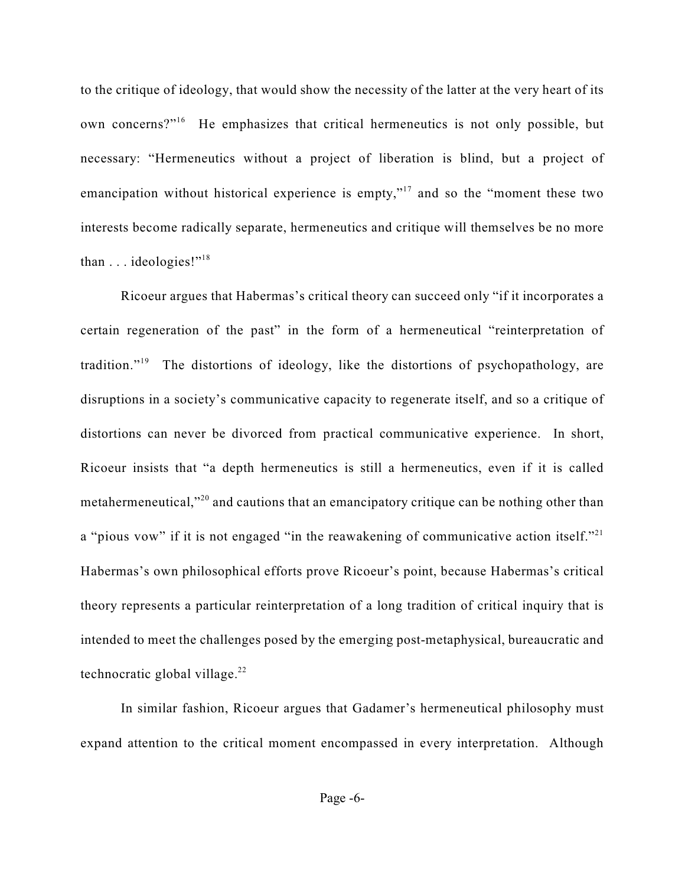to the critique of ideology, that would show the necessity of the latter at the very heart of its own concerns?"<sup>16</sup> He emphasizes that critical hermeneutics is not only possible, but necessary: "Hermeneutics without a project of liberation is blind, but a project of emancipation without historical experience is empty,"<sup>17</sup> and so the "moment these two interests become radically separate, hermeneutics and critique will themselves be no more than  $\ldots$  ideologies!"<sup>18</sup>

Ricoeur argues that Habermas's critical theory can succeed only "if it incorporates a certain regeneration of the past" in the form of a hermeneutical "reinterpretation of tradition."<sup>19</sup> The distortions of ideology, like the distortions of psychopathology, are disruptions in a society's communicative capacity to regenerate itself, and so a critique of distortions can never be divorced from practical communicative experience. In short, Ricoeur insists that "a depth hermeneutics is still a hermeneutics, even if it is called metahermeneutical,"<sup>20</sup> and cautions that an emancipatory critique can be nothing other than a "pious vow" if it is not engaged "in the reawakening of communicative action itself."<sup>21</sup> Habermas's own philosophical efforts prove Ricoeur's point, because Habermas's critical theory represents a particular reinterpretation of a long tradition of critical inquiry that is intended to meet the challenges posed by the emerging post-metaphysical, bureaucratic and technocratic global village. $22$ 

In similar fashion, Ricoeur argues that Gadamer's hermeneutical philosophy must expand attention to the critical moment encompassed in every interpretation. Although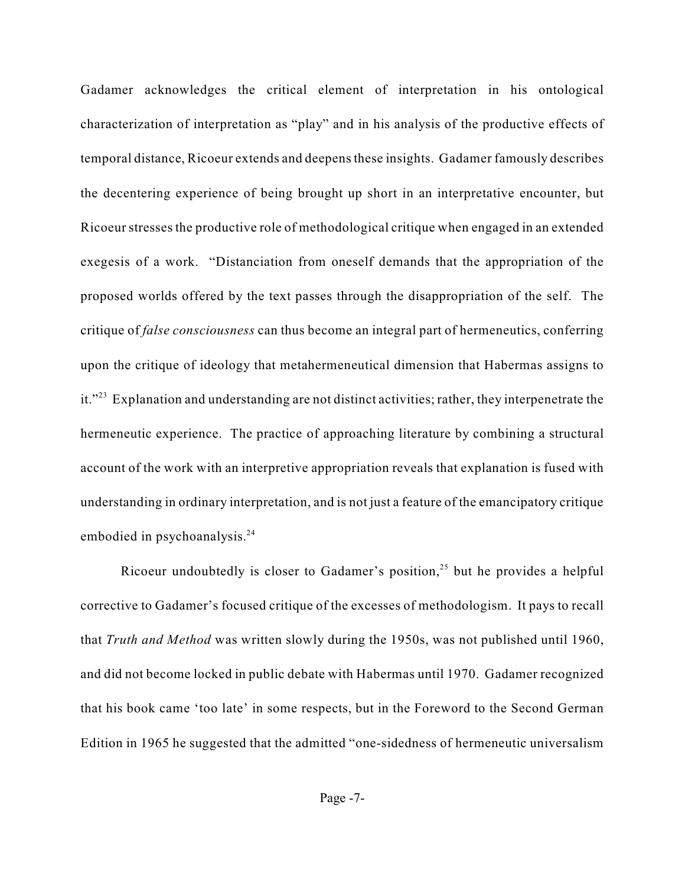Gadamer acknowledges the critical element of interpretation in his ontological characterization of interpretation as "play" and in his analysis of the productive effects of temporal distance, Ricoeur extends and deepens these insights. Gadamer famously describes the decentering experience of being brought up short in an interpretative encounter, but Ricoeur stresses the productive role of methodological critique when engaged in an extended exegesis of a work. "Distanciation from oneself demands that the appropriation of the proposed worlds offered by the text passes through the disappropriation of the self. The critique of *false consciousness* can thus become an integral part of hermeneutics, conferring upon the critique of ideology that metahermeneutical dimension that Habermas assigns to it."<sup>23</sup> Explanation and understanding are not distinct activities; rather, they interpenetrate the hermeneutic experience. The practice of approaching literature by combining a structural account of the work with an interpretive appropriation reveals that explanation is fused with understanding in ordinary interpretation, and is not just a feature of the emancipatory critique embodied in psychoanalysis. $24$ 

Ricoeur undoubtedly is closer to Gadamer's position,<sup>25</sup> but he provides a helpful corrective to Gadamer's focused critique of the excesses of methodologism. It pays to recall that *Truth and Method* was written slowly during the 1950s, was not published until 1960, and did not become locked in public debate with Habermas until 1970. Gadamer recognized that his book came 'too late' in some respects, but in the Foreword to the Second German Edition in 1965 he suggested that the admitted "one-sidedness of hermeneutic universalism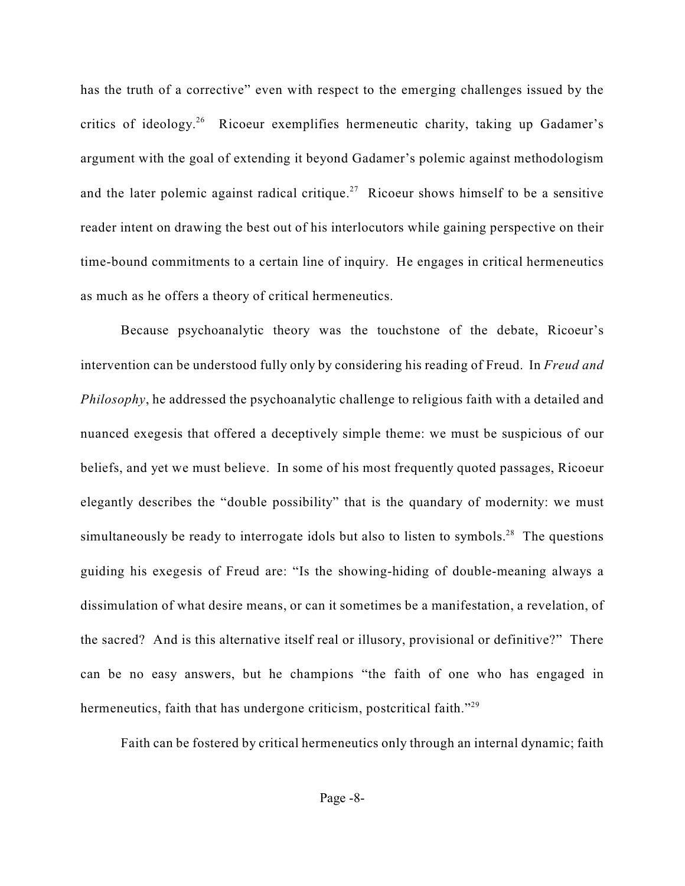has the truth of a corrective" even with respect to the emerging challenges issued by the critics of ideology.<sup>26</sup> Ricoeur exemplifies hermeneutic charity, taking up Gadamer's argument with the goal of extending it beyond Gadamer's polemic against methodologism and the later polemic against radical critique.<sup>27</sup> Ricoeur shows himself to be a sensitive reader intent on drawing the best out of his interlocutors while gaining perspective on their time-bound commitments to a certain line of inquiry. He engages in critical hermeneutics as much as he offers a theory of critical hermeneutics.

Because psychoanalytic theory was the touchstone of the debate, Ricoeur's intervention can be understood fully only by considering his reading of Freud. In *Freud and Philosophy*, he addressed the psychoanalytic challenge to religious faith with a detailed and nuanced exegesis that offered a deceptively simple theme: we must be suspicious of our beliefs, and yet we must believe. In some of his most frequently quoted passages, Ricoeur elegantly describes the "double possibility" that is the quandary of modernity: we must simultaneously be ready to interrogate idols but also to listen to symbols.<sup>28</sup> The questions guiding his exegesis of Freud are: "Is the showing-hiding of double-meaning always a dissimulation of what desire means, or can it sometimes be a manifestation, a revelation, of the sacred? And is this alternative itself real or illusory, provisional or definitive?" There can be no easy answers, but he champions "the faith of one who has engaged in hermeneutics, faith that has undergone criticism, postcritical faith."<sup>29</sup>

Faith can be fostered by critical hermeneutics only through an internal dynamic; faith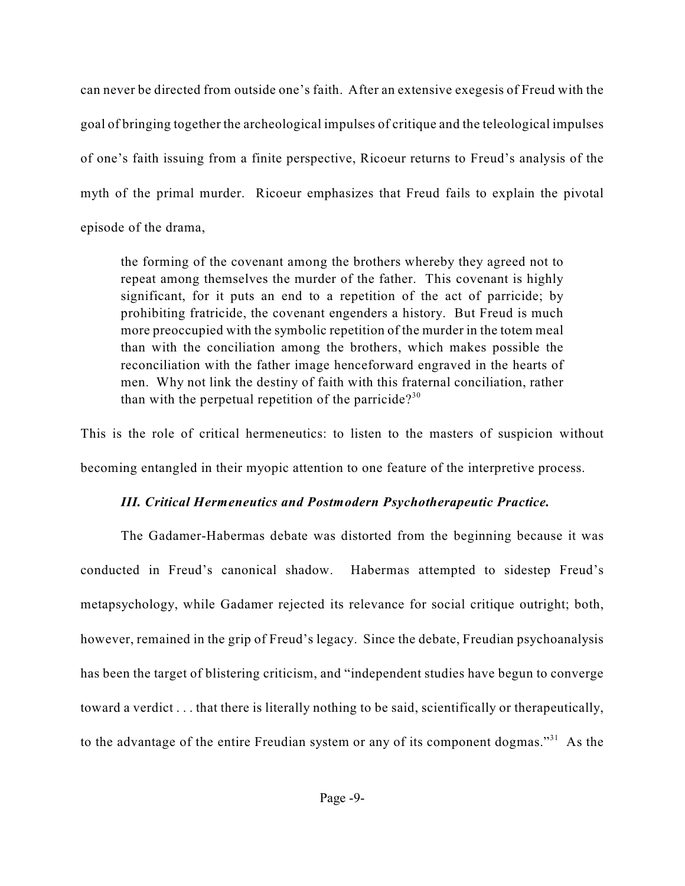can never be directed from outside one's faith. After an extensive exegesis of Freud with the goal of bringing together the archeological impulses of critique and the teleological impulses of one's faith issuing from a finite perspective, Ricoeur returns to Freud's analysis of the myth of the primal murder. Ricoeur emphasizes that Freud fails to explain the pivotal episode of the drama,

the forming of the covenant among the brothers whereby they agreed not to repeat among themselves the murder of the father. This covenant is highly significant, for it puts an end to a repetition of the act of parricide; by prohibiting fratricide, the covenant engenders a history. But Freud is much more preoccupied with the symbolic repetition of the murder in the totem meal than with the conciliation among the brothers, which makes possible the reconciliation with the father image henceforward engraved in the hearts of men. Why not link the destiny of faith with this fraternal conciliation, rather than with the perpetual repetition of the parricide?<sup>30</sup>

This is the role of critical hermeneutics: to listen to the masters of suspicion without becoming entangled in their myopic attention to one feature of the interpretive process.

#### *III. Critical Hermeneutics and Postmodern Psychotherapeutic Practice.*

The Gadamer-Habermas debate was distorted from the beginning because it was conducted in Freud's canonical shadow. Habermas attempted to sidestep Freud's metapsychology, while Gadamer rejected its relevance for social critique outright; both, however, remained in the grip of Freud's legacy. Since the debate, Freudian psychoanalysis has been the target of blistering criticism, and "independent studies have begun to converge toward a verdict . . . that there is literally nothing to be said, scientifically or therapeutically, to the advantage of the entire Freudian system or any of its component dogmas."<sup>31</sup> As the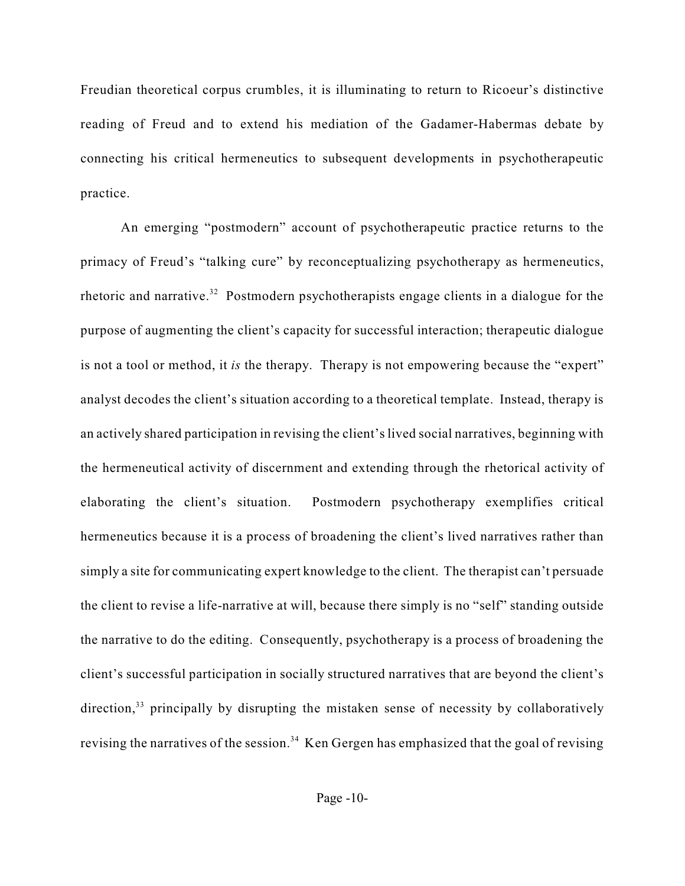Freudian theoretical corpus crumbles, it is illuminating to return to Ricoeur's distinctive reading of Freud and to extend his mediation of the Gadamer-Habermas debate by connecting his critical hermeneutics to subsequent developments in psychotherapeutic practice.

An emerging "postmodern" account of psychotherapeutic practice returns to the primacy of Freud's "talking cure" by reconceptualizing psychotherapy as hermeneutics, rhetoric and narrative.<sup>32</sup> Postmodern psychotherapists engage clients in a dialogue for the purpose of augmenting the client's capacity for successful interaction; therapeutic dialogue is not a tool or method, it *is* the therapy. Therapy is not empowering because the "expert" analyst decodes the client's situation according to a theoretical template. Instead, therapy is an actively shared participation in revising the client's lived social narratives, beginning with the hermeneutical activity of discernment and extending through the rhetorical activity of elaborating the client's situation. Postmodern psychotherapy exemplifies critical hermeneutics because it is a process of broadening the client's lived narratives rather than simply a site for communicating expert knowledge to the client. The therapist can't persuade the client to revise a life-narrative at will, because there simply is no "self" standing outside the narrative to do the editing. Consequently, psychotherapy is a process of broadening the client's successful participation in socially structured narratives that are beyond the client's direction,  $33$  principally by disrupting the mistaken sense of necessity by collaboratively revising the narratives of the session.<sup>34</sup> Ken Gergen has emphasized that the goal of revising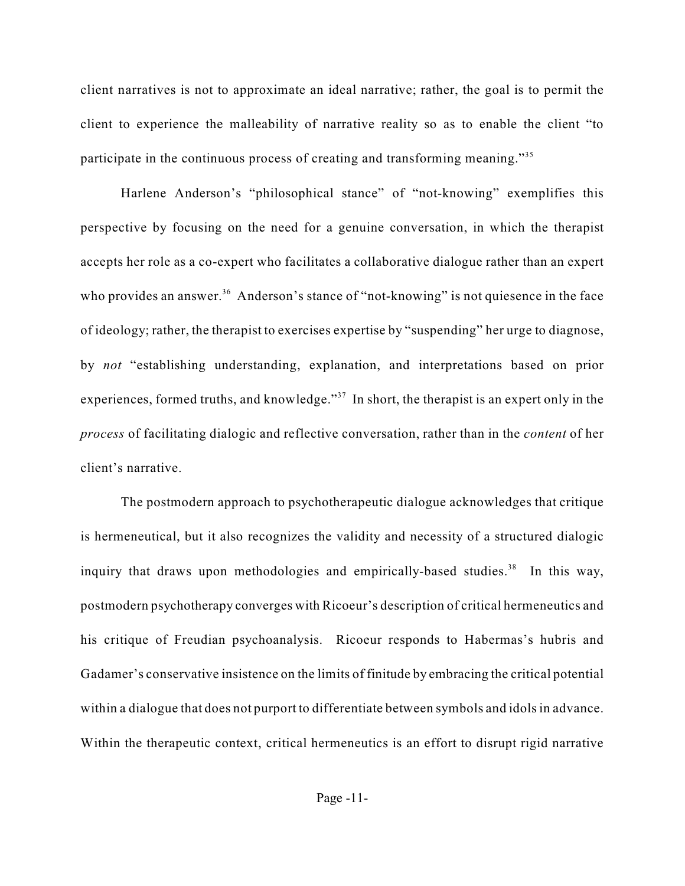client narratives is not to approximate an ideal narrative; rather, the goal is to permit the client to experience the malleability of narrative reality so as to enable the client "to participate in the continuous process of creating and transforming meaning."<sup>35</sup>

Harlene Anderson's "philosophical stance" of "not-knowing" exemplifies this perspective by focusing on the need for a genuine conversation, in which the therapist accepts her role as a co-expert who facilitates a collaborative dialogue rather than an expert who provides an answer.<sup>36</sup> Anderson's stance of "not-knowing" is not quiesence in the face of ideology; rather, the therapist to exercises expertise by "suspending" her urge to diagnose, by *not* "establishing understanding, explanation, and interpretations based on prior experiences, formed truths, and knowledge."<sup> $37$ </sup> In short, the therapist is an expert only in the *process* of facilitating dialogic and reflective conversation, rather than in the *content* of her client's narrative.

The postmodern approach to psychotherapeutic dialogue acknowledges that critique is hermeneutical, but it also recognizes the validity and necessity of a structured dialogic inquiry that draws upon methodologies and empirically-based studies.<sup>38</sup> In this way, postmodern psychotherapy converges with Ricoeur's description of critical hermeneutics and his critique of Freudian psychoanalysis. Ricoeur responds to Habermas's hubris and Gadamer's conservative insistence on the limits of finitude by embracing the critical potential within a dialogue that does not purport to differentiate between symbols and idols in advance. Within the therapeutic context, critical hermeneutics is an effort to disrupt rigid narrative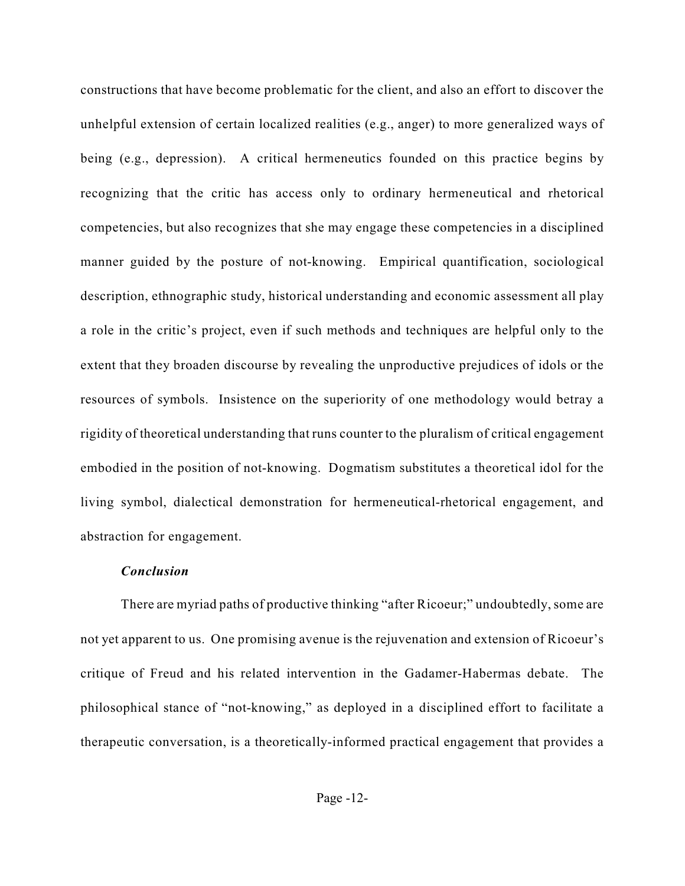constructions that have become problematic for the client, and also an effort to discover the unhelpful extension of certain localized realities (e.g., anger) to more generalized ways of being (e.g., depression). A critical hermeneutics founded on this practice begins by recognizing that the critic has access only to ordinary hermeneutical and rhetorical competencies, but also recognizes that she may engage these competencies in a disciplined manner guided by the posture of not-knowing. Empirical quantification, sociological description, ethnographic study, historical understanding and economic assessment all play a role in the critic's project, even if such methods and techniques are helpful only to the extent that they broaden discourse by revealing the unproductive prejudices of idols or the resources of symbols. Insistence on the superiority of one methodology would betray a rigidity of theoretical understanding that runs counter to the pluralism of critical engagement embodied in the position of not-knowing. Dogmatism substitutes a theoretical idol for the living symbol, dialectical demonstration for hermeneutical-rhetorical engagement, and abstraction for engagement.

#### *Conclusion*

There are myriad paths of productive thinking "after Ricoeur;" undoubtedly, some are not yet apparent to us. One promising avenue is the rejuvenation and extension of Ricoeur's critique of Freud and his related intervention in the Gadamer-Habermas debate. The philosophical stance of "not-knowing," as deployed in a disciplined effort to facilitate a therapeutic conversation, is a theoretically-informed practical engagement that provides a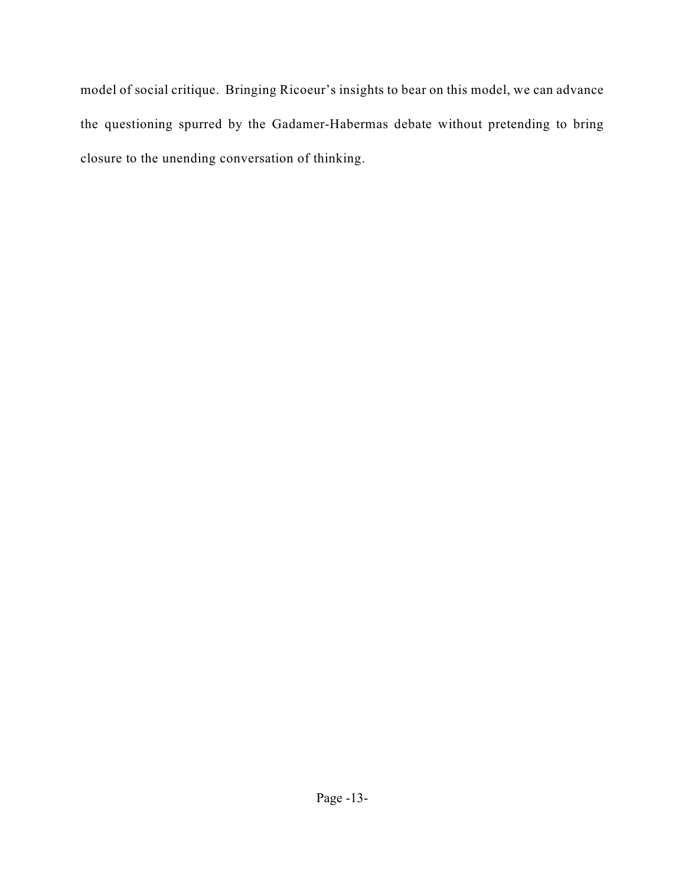model of social critique. Bringing Ricoeur's insights to bear on this model, we can advance the questioning spurred by the Gadamer-Habermas debate without pretending to bring closure to the unending conversation of thinking.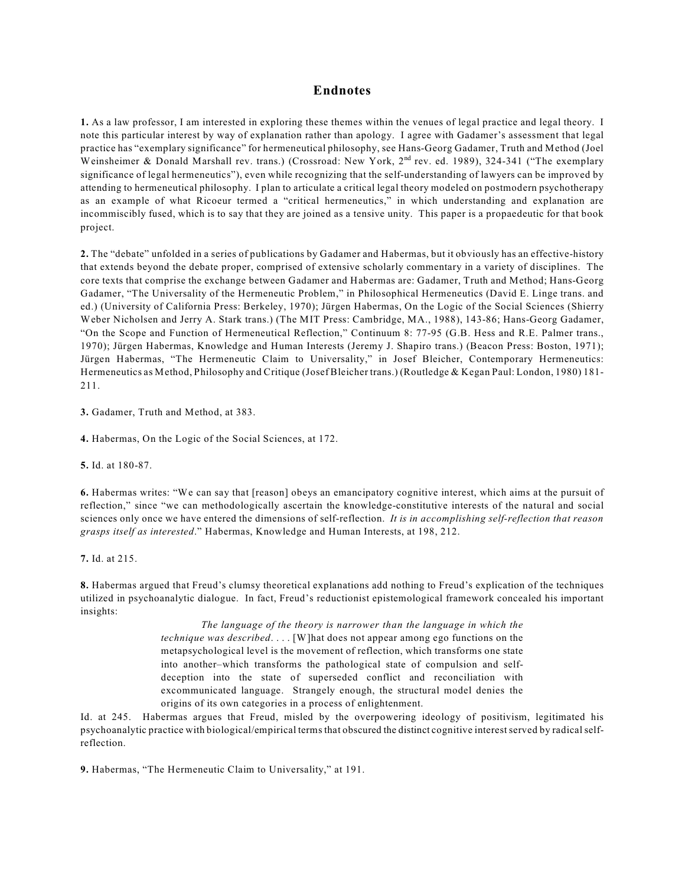#### **Endnotes**

**1.** As a law professor, I am interested in exploring these themes within the venues of legal practice and legal theory. I note this particular interest by way of explanation rather than apology. I agree with Gadamer's assessment that legal practice has "exemplary significance" for hermeneutical philosophy, see Hans-Georg Gadamer, Truth and Method (Joel Weinsheimer & Donald Marshall rev. trans.) (Crossroad: New York, 2<sup>nd</sup> rev. ed. 1989), 324-341 ("The exemplary significance of legal hermeneutics"), even while recognizing that the self-understanding of lawyers can be improved by attending to hermeneutical philosophy. I plan to articulate a critical legal theory modeled on postmodern psychotherapy as an example of what Ricoeur termed a "critical hermeneutics," in which understanding and explanation are incommiscibly fused, which is to say that they are joined as a tensive unity. This paper is a propaedeutic for that book project.

**2.** The "debate" unfolded in a series of publications by Gadamer and Habermas, but it obviously has an effective-history that extends beyond the debate proper, comprised of extensive scholarly commentary in a variety of disciplines. The core texts that comprise the exchange between Gadamer and Habermas are: Gadamer, Truth and Method; Hans-Georg Gadamer, "The Universality of the Hermeneutic Problem," in Philosophical Hermeneutics (David E. Linge trans. and ed.) (University of California Press: Berkeley, 1970); Jürgen Habermas, On the Logic of the Social Sciences (Shierry Weber Nicholsen and Jerry A. Stark trans.) (The MIT Press: Cambridge, MA., 1988), 143-86; Hans-Georg Gadamer, "On the Scope and Function of Hermeneutical Reflection," Continuum 8: 77-95 (G.B. Hess and R.E. Palmer trans., 1970); Jürgen Habermas, Knowledge and Human Interests (Jeremy J. Shapiro trans.) (Beacon Press: Boston, 1971); Jürgen Habermas, "The Hermeneutic Claim to Universality," in Josef Bleicher, Contemporary Hermeneutics: Hermeneutics as Method, Philosophy and Critique (Josef Bleicher trans.) (Routledge & Kegan Paul: London, 1980) 181- 211.

**3.** Gadamer, Truth and Method, at 383.

**4.** Habermas, On the Logic of the Social Sciences, at 172.

**5.** Id. at 180-87.

**6.** Habermas writes: "We can say that [reason] obeys an emancipatory cognitive interest, which aims at the pursuit of reflection," since "we can methodologically ascertain the knowledge-constitutive interests of the natural and social sciences only once we have entered the dimensions of self-reflection. *It is in accomplishing self-reflection that reason grasps itself as interested*." Habermas, Knowledge and Human Interests, at 198, 212.

**7.** Id. at 215.

**8.** Habermas argued that Freud's clumsy theoretical explanations add nothing to Freud's explication of the techniques utilized in psychoanalytic dialogue. In fact, Freud's reductionist epistemological framework concealed his important insights:

> *The language of the theory is narrower than the language in which the technique was described*. . . . [W]hat does not appear among ego functions on the metapsychological level is the movement of reflection, which transforms one state into another–which transforms the pathological state of compulsion and selfdeception into the state of superseded conflict and reconciliation with excommunicated language. Strangely enough, the structural model denies the origins of its own categories in a process of enlightenment.

Id. at 245. Habermas argues that Freud, misled by the overpowering ideology of positivism, legitimated his psychoanalytic practice with biological/empirical terms that obscured the distinct cognitive interest served by radical selfreflection.

**9.** Habermas, "The Hermeneutic Claim to Universality," at 191.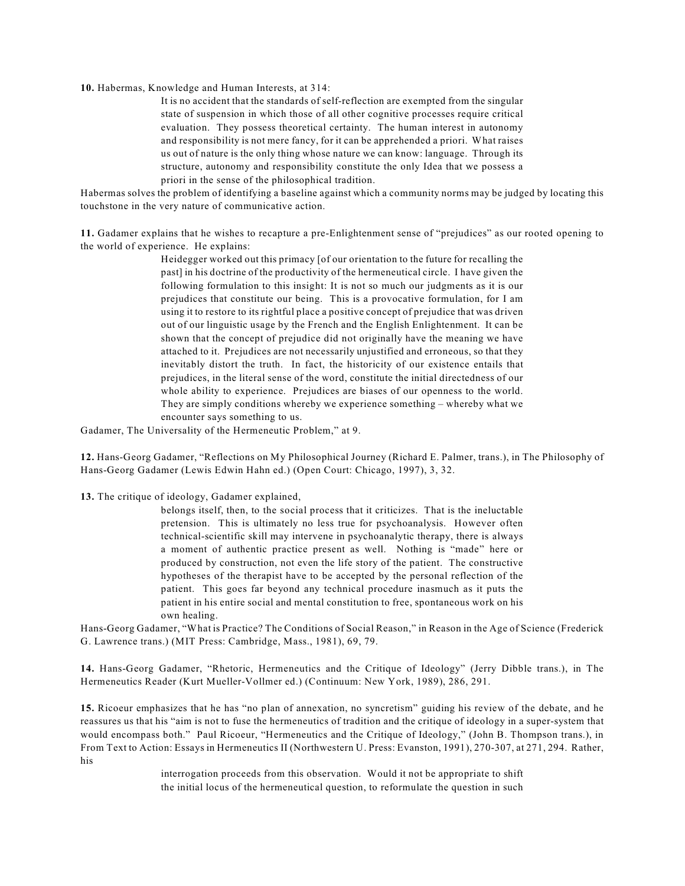**10.** Habermas, Knowledge and Human Interests, at 314:

It is no accident that the standards of self-reflection are exempted from the singular state of suspension in which those of all other cognitive processes require critical evaluation. They possess theoretical certainty. The human interest in autonomy and responsibility is not mere fancy, for it can be apprehended a priori. What raises us out of nature is the only thing whose nature we can know: language. Through its structure, autonomy and responsibility constitute the only Idea that we possess a priori in the sense of the philosophical tradition.

Habermas solves the problem of identifying a baseline against which a community norms may be judged by locating this touchstone in the very nature of communicative action.

**11.** Gadamer explains that he wishes to recapture a pre-Enlightenment sense of "prejudices" as our rooted opening to the world of experience. He explains:

> Heidegger worked out this primacy [of our orientation to the future for recalling the past] in his doctrine of the productivity of the hermeneutical circle. I have given the following formulation to this insight: It is not so much our judgments as it is our prejudices that constitute our being. This is a provocative formulation, for I am using it to restore to its rightful place a positive concept of prejudice that was driven out of our linguistic usage by the French and the English Enlightenment. It can be shown that the concept of prejudice did not originally have the meaning we have attached to it. Prejudices are not necessarily unjustified and erroneous, so that they inevitably distort the truth. In fact, the historicity of our existence entails that prejudices, in the literal sense of the word, constitute the initial directedness of our whole ability to experience. Prejudices are biases of our openness to the world. They are simply conditions whereby we experience something – whereby what we encounter says something to us.

Gadamer, The Universality of the Hermeneutic Problem," at 9.

**12.** Hans-Georg Gadamer, "Reflections on My Philosophical Journey (Richard E. Palmer, trans.), in The Philosophy of Hans-Georg Gadamer (Lewis Edwin Hahn ed.) (Open Court: Chicago, 1997), 3, 32.

**13.** The critique of ideology, Gadamer explained,

belongs itself, then, to the social process that it criticizes. That is the ineluctable pretension. This is ultimately no less true for psychoanalysis. However often technical-scientific skill may intervene in psychoanalytic therapy, there is always a moment of authentic practice present as well. Nothing is "made" here or produced by construction, not even the life story of the patient. The constructive hypotheses of the therapist have to be accepted by the personal reflection of the patient. This goes far beyond any technical procedure inasmuch as it puts the patient in his entire social and mental constitution to free, spontaneous work on his own healing.

Hans-Georg Gadamer, "What is Practice? The Conditions of Social Reason," in Reason in the Age of Science (Frederick G. Lawrence trans.) (MIT Press: Cambridge, Mass., 1981), 69, 79.

**14.** Hans-Georg Gadamer, "Rhetoric, Hermeneutics and the Critique of Ideology" (Jerry Dibble trans.), in The Hermeneutics Reader (Kurt Mueller-Vollmer ed.) (Continuum: New York, 1989), 286, 291.

**15.** Ricoeur emphasizes that he has "no plan of annexation, no syncretism" guiding his review of the debate, and he reassures us that his "aim is not to fuse the hermeneutics of tradition and the critique of ideology in a super-system that would encompass both." Paul Ricoeur, "Hermeneutics and the Critique of Ideology," (John B. Thompson trans.), in From Text to Action: Essays in Hermeneutics II (Northwestern U. Press: Evanston, 1991), 270-307, at 271, 294. Rather, his

> interrogation proceeds from this observation. Would it not be appropriate to shift the initial locus of the hermeneutical question, to reformulate the question in such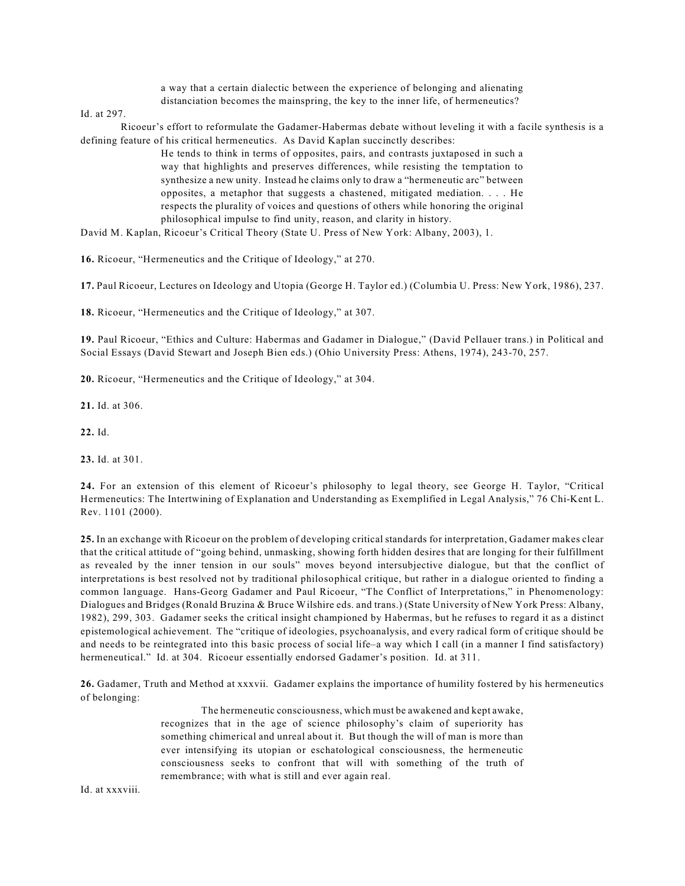a way that a certain dialectic between the experience of belonging and alienating distanciation becomes the mainspring, the key to the inner life, of hermeneutics?

Id. at 297.

Ricoeur's effort to reformulate the Gadamer-Habermas debate without leveling it with a facile synthesis is a defining feature of his critical hermeneutics. As David Kaplan succinctly describes:

> He tends to think in terms of opposites, pairs, and contrasts juxtaposed in such a way that highlights and preserves differences, while resisting the temptation to synthesize a new unity. Instead he claims only to draw a "hermeneutic arc" between opposites, a metaphor that suggests a chastened, mitigated mediation. . . . He respects the plurality of voices and questions of others while honoring the original philosophical impulse to find unity, reason, and clarity in history.

David M. Kaplan, Ricoeur's Critical Theory (State U. Press of New York: Albany, 2003), 1.

**16.** Ricoeur, "Hermeneutics and the Critique of Ideology," at 270.

**17.** Paul Ricoeur, Lectures on Ideology and Utopia (George H. Taylor ed.) (Columbia U. Press: New York, 1986), 237.

**18.** Ricoeur, "Hermeneutics and the Critique of Ideology," at 307.

**19.** Paul Ricoeur, "Ethics and Culture: Habermas and Gadamer in Dialogue," (David Pellauer trans.) in Political and Social Essays (David Stewart and Joseph Bien eds.) (Ohio University Press: Athens, 1974), 243-70, 257.

**20.** Ricoeur, "Hermeneutics and the Critique of Ideology," at 304.

**21.** Id. at 306.

**22.** Id.

**23.** Id. at 301.

**24.** For an extension of this element of Ricoeur's philosophy to legal theory, see George H. Taylor, "Critical Hermeneutics: The Intertwining of Explanation and Understanding as Exemplified in Legal Analysis," 76 Chi-Kent L. Rev. 1101 (2000).

**25.** In an exchange with Ricoeur on the problem of developing critical standards for interpretation, Gadamer makes clear that the critical attitude of "going behind, unmasking, showing forth hidden desires that are longing for their fulfillment as revealed by the inner tension in our souls" moves beyond intersubjective dialogue, but that the conflict of interpretations is best resolved not by traditional philosophical critique, but rather in a dialogue oriented to finding a common language. Hans-Georg Gadamer and Paul Ricoeur, "The Conflict of Interpretations," in Phenomenology: Dialogues and Bridges (Ronald Bruzina & Bruce Wilshire eds. and trans.) (State University of New York Press: Albany, 1982), 299, 303. Gadamer seeks the critical insight championed by Habermas, but he refuses to regard it as a distinct epistemological achievement. The "critique of ideologies, psychoanalysis, and every radical form of critique should be and needs to be reintegrated into this basic process of social life–a way which I call (in a manner I find satisfactory) hermeneutical." Id. at 304. Ricoeur essentially endorsed Gadamer's position. Id. at 311.

**26.** Gadamer, Truth and Method at xxxvii. Gadamer explains the importance of humility fostered by his hermeneutics of belonging:

> The hermeneutic consciousness, which must be awakened and kept awake, recognizes that in the age of science philosophy's claim of superiority has something chimerical and unreal about it. But though the will of man is more than ever intensifying its utopian or eschatological consciousness, the hermeneutic consciousness seeks to confront that will with something of the truth of remembrance; with what is still and ever again real.

Id. at xxxviii.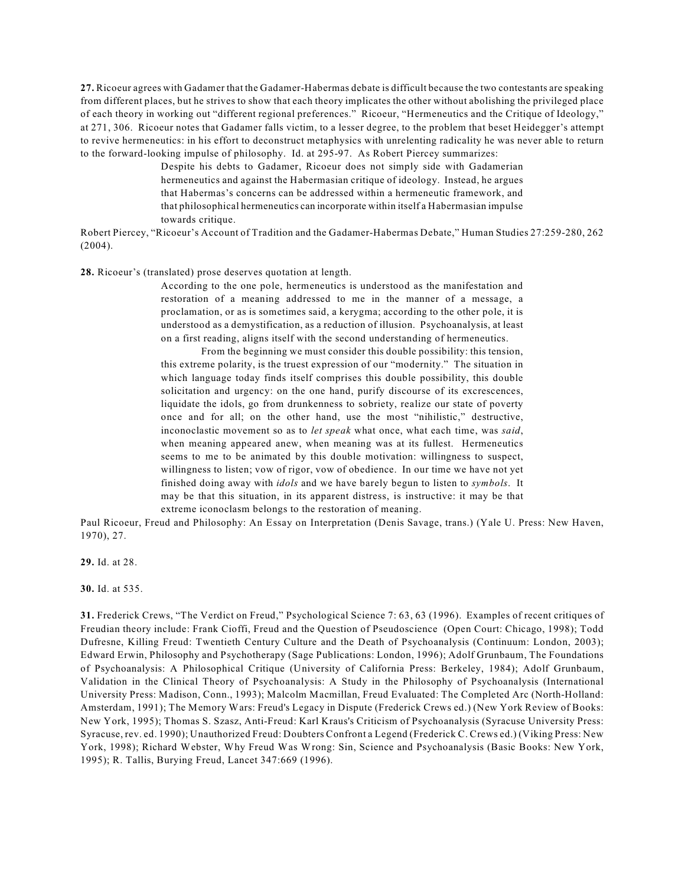**27.** Ricoeur agrees with Gadamer that the Gadamer-Habermas debate is difficult because the two contestants are speaking from different places, but he strives to show that each theory implicates the other without abolishing the privileged place of each theory in working out "different regional preferences." Ricoeur, "Hermeneutics and the Critique of Ideology," at 271, 306. Ricoeur notes that Gadamer falls victim, to a lesser degree, to the problem that beset Heidegger's attempt to revive hermeneutics: in his effort to deconstruct metaphysics with unrelenting radicality he was never able to return to the forward-looking impulse of philosophy. Id. at 295-97. As Robert Piercey summarizes:

> Despite his debts to Gadamer, Ricoeur does not simply side with Gadamerian hermeneutics and against the Habermasian critique of ideology. Instead, he argues that Habermas's concerns can be addressed within a hermeneutic framework, and that philosophical hermeneutics can incorporate within itself a Habermasian impulse towards critique.

Robert Piercey, "Ricoeur's Account of Tradition and the Gadamer-Habermas Debate," Human Studies 27:259-280, 262 (2004).

**28.** Ricoeur's (translated) prose deserves quotation at length.

According to the one pole, hermeneutics is understood as the manifestation and restoration of a meaning addressed to me in the manner of a message, a proclamation, or as is sometimes said, a kerygma; according to the other pole, it is understood as a demystification, as a reduction of illusion. Psychoanalysis, at least on a first reading, aligns itself with the second understanding of hermeneutics.

From the beginning we must consider this double possibility: this tension, this extreme polarity, is the truest expression of our "modernity." The situation in which language today finds itself comprises this double possibility, this double solicitation and urgency: on the one hand, purify discourse of its excrescences, liquidate the idols, go from drunkenness to sobriety, realize our state of poverty once and for all; on the other hand, use the most "nihilistic," destructive, inconoclastic movement so as to *let speak* what once, what each time, was *said*, when meaning appeared anew, when meaning was at its fullest. Hermeneutics seems to me to be animated by this double motivation: willingness to suspect, willingness to listen; vow of rigor, vow of obedience. In our time we have not yet finished doing away with *idols* and we have barely begun to listen to *symbols*. It may be that this situation, in its apparent distress, is instructive: it may be that extreme iconoclasm belongs to the restoration of meaning.

Paul Ricoeur, Freud and Philosophy: An Essay on Interpretation (Denis Savage, trans.) (Yale U. Press: New Haven, 1970), 27.

**29.** Id. at 28.

**30.** Id. at 535.

**31.** Frederick Crews, "The Verdict on Freud," Psychological Science 7: 63, 63 (1996). Examples of recent critiques of Freudian theory include: Frank Cioffi, Freud and the Question of Pseudoscience (Open Court: Chicago, 1998); Todd Dufresne, Killing Freud: Twentieth Century Culture and the Death of Psychoanalysis (Continuum: London, 2003); Edward Erwin, Philosophy and Psychotherapy (Sage Publications: London, 1996); Adolf Grunbaum, The Foundations of Psychoanalysis: A Philosophical Critique (University of California Press: Berkeley, 1984); Adolf Grunbaum, Validation in the Clinical Theory of Psychoanalysis: A Study in the Philosophy of Psychoanalysis (International University Press: Madison, Conn., 1993); Malcolm Macmillan, Freud Evaluated: The Completed Arc (North-Holland: Amsterdam, 1991); The Memory Wars: Freud's Legacy in Dispute (Frederick Crews ed.) (New York Review of Books: New York, 1995); Thomas S. Szasz, Anti-Freud: Karl Kraus's Criticism of Psychoanalysis (Syracuse University Press: Syracuse, rev. ed. 1990); Unauthorized Freud: Doubters Confront a Legend (Frederick C. Crews ed.) (Viking Press: New York, 1998); Richard Webster, Why Freud Was Wrong: Sin, Science and Psychoanalysis (Basic Books: New York, 1995); R. Tallis, Burying Freud, Lancet 347:669 (1996).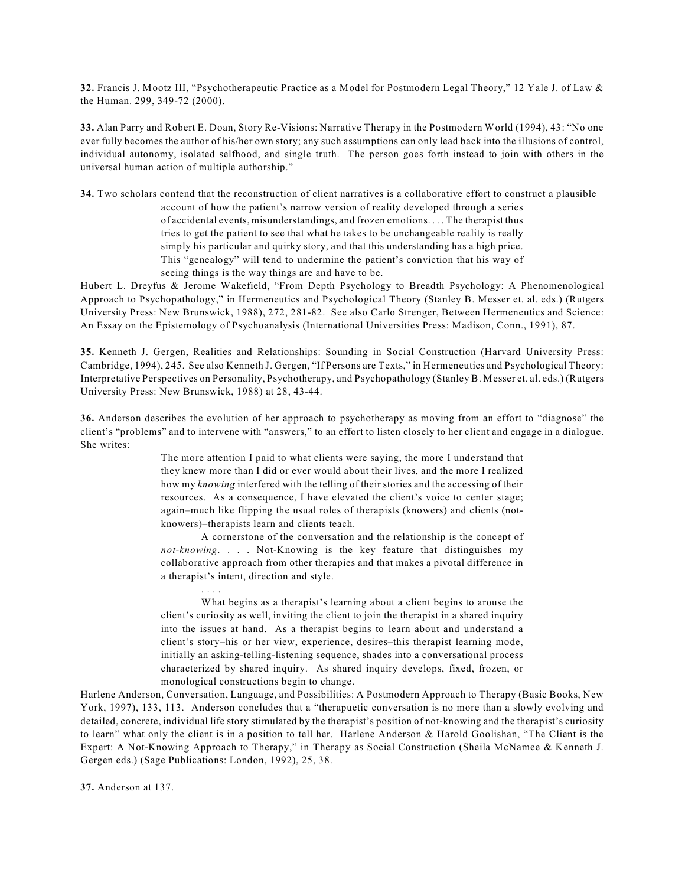**32.** Francis J. Mootz III, "Psychotherapeutic Practice as a Model for Postmodern Legal Theory," 12 Yale J. of Law & the Human. 299, 349-72 (2000).

**33.** Alan Parry and Robert E. Doan, Story Re-Visions: Narrative Therapy in the Postmodern World (1994), 43: "No one ever fully becomes the author of his/her own story; any such assumptions can only lead back into the illusions of control, individual autonomy, isolated selfhood, and single truth. The person goes forth instead to join with others in the universal human action of multiple authorship."

**34.** Two scholars contend that the reconstruction of client narratives is a collaborative effort to construct a plausible account of how the patient's narrow version of reality developed through a series of accidental events, misunderstandings, and frozen emotions. . . . The therapist thus tries to get the patient to see that what he takes to be unchangeable reality is really simply his particular and quirky story, and that this understanding has a high price. This "genealogy" will tend to undermine the patient's conviction that his way of seeing things is the way things are and have to be.

Hubert L. Dreyfus & Jerome Wakefield, "From Depth Psychology to Breadth Psychology: A Phenomenological Approach to Psychopathology," in Hermeneutics and Psychological Theory (Stanley B. Messer et. al. eds.) (Rutgers University Press: New Brunswick, 1988), 272, 281-82. See also Carlo Strenger, Between Hermeneutics and Science: An Essay on the Epistemology of Psychoanalysis (International Universities Press: Madison, Conn., 1991), 87.

**35.** Kenneth J. Gergen, Realities and Relationships: Sounding in Social Construction (Harvard University Press: Cambridge, 1994), 245. See also Kenneth J. Gergen, "If Persons are Texts," in Hermeneutics and Psychological Theory: Interpretative Perspectives on Personality, Psychotherapy, and Psychopathology (Stanley B. Messer et. al. eds.) (Rutgers University Press: New Brunswick, 1988) at 28, 43-44.

**36.** Anderson describes the evolution of her approach to psychotherapy as moving from an effort to "diagnose" the client's "problems" and to intervene with "answers," to an effort to listen closely to her client and engage in a dialogue. She writes:

> The more attention I paid to what clients were saying, the more I understand that they knew more than I did or ever would about their lives, and the more I realized how my *knowing* interfered with the telling of their stories and the accessing of their resources. As a consequence, I have elevated the client's voice to center stage; again–much like flipping the usual roles of therapists (knowers) and clients (notknowers)–therapists learn and clients teach.

> A cornerstone of the conversation and the relationship is the concept of *not-knowing*. . . . Not-Knowing is the key feature that distinguishes my collaborative approach from other therapies and that makes a pivotal difference in a therapist's intent, direction and style.

> . . . . What begins as a therapist's learning about a client begins to arouse the client's curiosity as well, inviting the client to join the therapist in a shared inquiry into the issues at hand. As a therapist begins to learn about and understand a client's story–his or her view, experience, desires–this therapist learning mode, initially an asking-telling-listening sequence, shades into a conversational process characterized by shared inquiry. As shared inquiry develops, fixed, frozen, or monological constructions begin to change.

Harlene Anderson, Conversation, Language, and Possibilities: A Postmodern Approach to Therapy (Basic Books, New York, 1997), 133, 113. Anderson concludes that a "therapuetic conversation is no more than a slowly evolving and detailed, concrete, individual life story stimulated by the therapist's position of not-knowing and the therapist's curiosity to learn" what only the client is in a position to tell her. Harlene Anderson & Harold Goolishan, "The Client is the Expert: A Not-Knowing Approach to Therapy," in Therapy as Social Construction (Sheila McNamee & Kenneth J. Gergen eds.) (Sage Publications: London, 1992), 25, 38.

**37.** Anderson at 137.